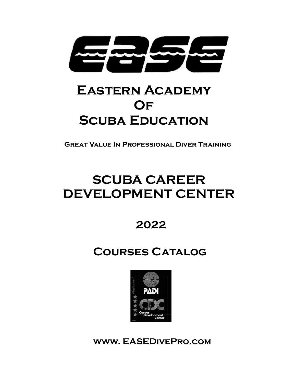

# **Eastern Academy Of Scuba Education**

**Great Value In Professional Diver Training** 

# **SCUBA CAREER DEVELOPMENT CENTER**

**2022** 

# **Courses Catalog**



**www. EASEDivePro.com**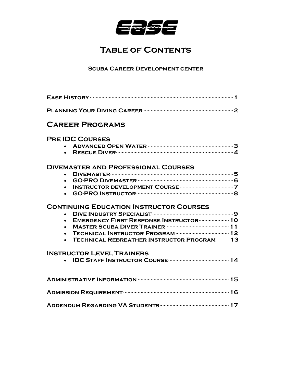

# **Table of Contents**

# **Scuba Career Development center**

| <b>CAREER PROGRAMS</b>                                                                                                                                                   |
|--------------------------------------------------------------------------------------------------------------------------------------------------------------------------|
| <b>PRE IDC COURSES</b>                                                                                                                                                   |
| <b>DIVEMASTER AND PROFESSIONAL COURSES</b><br>$\bullet$<br>$\bullet$<br>$\bullet$                                                                                        |
| <b>CONTINUING EDUCATION INSTRUCTOR COURSES</b><br>$\bullet$<br>EMERGENCY FIRST RESPONSE INSTRUCTOR  10<br>$\bullet$<br><b>TECHNICAL REBREATHER INSTRUCTOR PROGRAM 13</b> |
| <b>INSTRUCTOR LEVEL TRAINERS</b>                                                                                                                                         |
|                                                                                                                                                                          |
|                                                                                                                                                                          |
|                                                                                                                                                                          |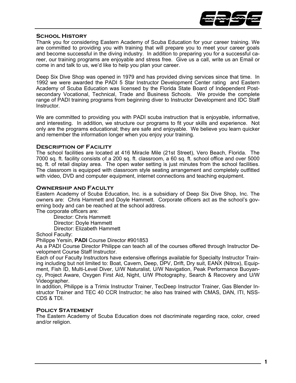

# **School History**

Thank you for considering Eastern Academy of Scuba Education for your career training. We are committed to providing you with training that will prepare you to meet your career goals and become successful in the diving industry. In addition to preparing you for a successful career, our training programs are enjoyable and stress free. Give us a call, write us an Email or come in and talk to us, we'd like to help you plan your career.

Deep Six Dive Shop was opened in 1979 and has provided diving services since that time. In 1992 we were awarded the PADI 5 Star Instructor Development Center rating and Eastern Academy of Scuba Education was licensed by the Florida State Board of Independent Postsecondary Vocational, Technical, Trade and Business Schools. We provide the complete range of PADI training programs from beginning diver to Instructor Development and IDC Staff Instructor.

We are committed to providing you with PADI scuba instruction that is enjoyable, informative, and interesting. In addition, we structure our programs to fit your skills and experience. Not only are the programs educational; they are safe and enjoyable. We believe you learn quicker and remember the information longer when you enjoy your training.

# **Description of Facility**

The school facilities are located at 416 Miracle Mile (21st Street), Vero Beach, Florida. The 7000 sq. ft. facility consists of a 200 sq. ft. classroom, a 60 sq. ft. school office and over 5000 sq. ft. of retail display area. The open water setting is just minutes from the school facilities. The classroom is equipped with classroom style seating arrangement and completely outfitted with video, DVD and computer equipment, internet connections and teaching equipment.

# **Ownership and Faculty**

Eastern Academy of Scuba Education, Inc. is a subsidiary of Deep Six Dive Shop, Inc. The owners are: Chris Hammett and Doyle Hammett. Corporate officers act as the school's governing body and can be reached at the school address.

The corporate officers are:

 Director: Chris Hammett Director: Doyle Hammett Director: Elizabeth Hammett

School Faculty:

Philippe Yersin, **PADI** Course Director #901853

As a PADI Course Director Philippe can teach all of the courses offered through Instructor Development Course Staff Instructor.

Each of our Faculty Instructors have extensive offerings available for Specialty Instructor Training including but not limited to: Boat, Cavern, Deep, DPV, Drift, Dry suit, EANX (Nitrox), Equipment, Fish ID, Multi-Level Diver, U/W Naturalist, U/W Navigation, Peak Performance Buoyancy, Project Aware, Oxygen First Aid, Night, U/W Photography, Search & Recovery and U/W Videographer.

In addition, Philippe is a Trimix Instructor Trainer, TecDeep Instructor Trainer, Gas Blender Instructor Trainer and TEC 40 CCR Instructor; he also has trained with CMAS, DAN, ITI, NSS-CDS & TDI.

# **Policy Statement**

The Eastern Academy of Scuba Education does not discriminate regarding race, color, creed and/or religion.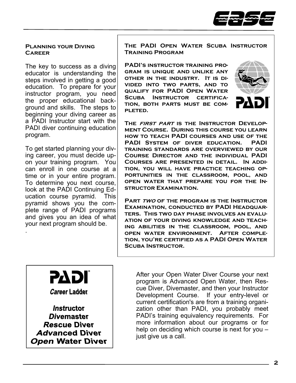

# **Planning your Diving Career**

The key to success as a diving educator is understanding the steps involved in getting a good education. To prepare for your instructor program, you need the proper educational background and skills. The steps to beginning your diving career as a PADI Instructor start with the PADI diver continuing education program.

To get started planning your diving career, you must decide upon your training program. You can enroll in one course at a time or in your entire program. To determine you next course, look at the PADI Continuing Education course pyramid. This pyramid shows you the complete range of PADI programs and gives you an idea of what your next program should be.

**The PADI Open Water Scuba Instructor Training Program** 

**PADI's instructor training program is unique and unlike any other in the industry. It is divided into two parts, and to qualify for PADI Open Water**  SCUBA INSTRUCTOR CERTIFICA**tion, both parts must be com-**PLETED.



**The first part is the Instructor Development Course. During this course you learn how to teach PADI courses and use of the PADI System of diver education. PADI training standards are overviewed by our Course Director and the individual PADI Courses are presented in detail. In addition, you will have practice teaching opportunities in the classroom, pool, and open water that prepare you for the Instructor Examination.** 

**Part two of the program is the Instructor Examination, conducted by PADI Headquarters. This two day phase involves an evaluation of your diving knowledge and teaching abilities in the classroom, pool, and open water environment. After completion, you're certified as a PADI Open Water Scuba Instructor.** 



.

**Career Ladder** 

*Instructor* **Divemaster Rescue Diver Advanced Diver Open Water Diver**  After your Open Water Diver Course your next program is Advanced Open Water, then Rescue Diver, Divemaster, and then your Instructor Development Course. If your entry-level or current certification's are from a training organization other than PADI, you probably meet PADI's training equivalency requirements. For more information about our programs or for help on deciding which course is next for you – just give us a call.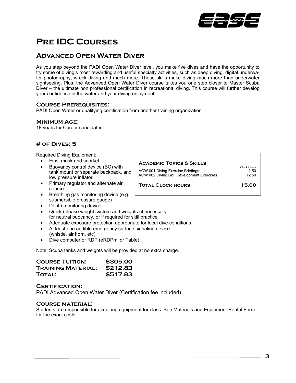

# **Pre IDC Courses**

# **Advanced Open Water Diver**

As you step beyond the PADI Open Water Diver level, you make five dives and have the opportunity to try some of diving's most rewarding and useful specialty activities, such as deep diving, digital underwater photography, wreck diving and much more. These skills make diving much more than underwater sightseeing. Plus, the Advanced Open Water Diver course takes you one step closer to Master Scuba Diver – the ultimate non professional certification in recreational diving. This course will further develop your confidence in the water and your diving enjoyment.

### **Course Prerequisites:**

PADI Open Water or qualifying certification from another training organization

### **Minimum Age:**

18 years for Career candidates

# **# of Dives: 5**

Required Diving Equipment:

- Fins, mask and snorkel
- Buoyancy control device (BC) with tank mount or separate backpack, and low pressure inflator.
- Primary regulator and alternate air source.
- Breathing gas monitoring device (e.g. submersible pressure gauge)
- Depth monitoring device.
- Quick release weight system and weights (if necessary for neutral buoyancy, or if required for skill practice
- Adequate exposure protection appropriate for local dive conditions
- At least one audible emergency surface signaling device (whistle, air horn, etc)
- Dive computer or RDP (eRDPml or Table)

Note: Scuba tanks and weights will be provided at no extra charge.

| <b>COURSE TUITION:</b>    | \$305.00 |
|---------------------------|----------|
| <b>TRAINING MATERIAL:</b> | \$212.83 |
| <b>TOTAL:</b>             | \$517.83 |

#### **Certification:**

PADI Advanced Open Water Diver (Certification fee included)

#### **Course material:**

| ACADEMIC TOPICS & SKILLS                                                        |                              |  |
|---------------------------------------------------------------------------------|------------------------------|--|
| AOW 001 Diving Exercise Briefings<br>AOW 002 Diving Skill Development Exercises | Clock Hours<br>2.50<br>12.50 |  |
| <b>TOTAL CLOCK HOURS</b>                                                        | 15.00                        |  |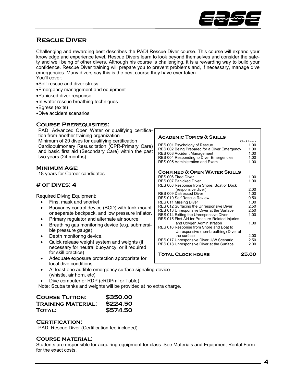

# **Rescue Diver**

Challenging and rewarding best describes the PADI Rescue Diver course. This course will expand your knowledge and experience level. Rescue Divers learn to look beyond themselves and consider the safety and well being of other divers. Although his course is challenging, it is a rewarding way to build your confidence. Rescue Diver training will prepare you to prevent problems and, if necessary, manage dive emergencies. Many divers say this is the best course they have ever taken. You'll cover:

- •Self-rescue and diver stress
- •Emergency management and equipment
- •Panicked diver response
- •In-water rescue breathing techniques
- •Egress (exits)
- •Dive accident scenarios

### **Course Prerequisites:**

| PADI Advanced Open Water or qualifying certifica-    |
|------------------------------------------------------|
| tion from another training organization              |
| Minimum of 20 dives for qualifying certification     |
| Cardiopulmonary Resuscitation (CPR-Primary Care)     |
| and basic first aid (Secondary Care) within the past |
| two years (24 months)                                |

### **Minimum Age:**

18 years for Career candidates

# **# of Dives: 4**

Required Diving Equipment:

- Fins, mask and snorkel
- Buoyancy control device (BCD) with tank mount or separate backpack, and low pressure inflator.
- Primary regulator and alternate air source.
- Breathing gas monitoring device (e.g. submersible pressure gauge)
- Depth monitoring device.
- Quick release weight system and weights (if necessary for neutral buoyancy, or if required for skill practice)
- Adequate exposure protection appropriate for local dive conditions
- At least one audible emergency surface signaling device (whistle, air horn, etc)
- Dive computer or RDP (eRDPml or Table)

Note: Scuba tanks and weights will be provided at no extra charge.

| <b>COURSE TUITION:</b>    | \$350.00 |
|---------------------------|----------|
| <b>TRAINING MATERIAL:</b> | \$224.50 |
| <b>TOTAL:</b>             | \$574.50 |

#### **Certification:**

PADI Rescue Diver (Certification fee included)

### **Course material:**

Students are responsible for acquiring equipment for class. See Materials and Equipment Rental Form for the exact costs.

#### **Academic Topics & Skills**

|                                                      | <b>Clock Hours</b> |
|------------------------------------------------------|--------------------|
| RES 001 Psychology of Rescue                         | 1.00               |
| RES 002 Being Prepared for a Diver Emergency         | 1.00               |
| RES 003 Accident Management                          | 1.00               |
| RES 004 Responding to Diver Emergencies              | 1.00               |
| RES 005 Administration and Exam                      | 1.00               |
|                                                      |                    |
| <b>CONFINED &amp; OPEN WATER SKILLS</b>              |                    |
| RFS 006 Tired Diver                                  | 1.00               |
| <b>RES 007 Panicked Diver</b>                        | 1.00               |
| RES 008 Response from Shore, Boat or Dock            |                    |
| (responsive diver)                                   | 2.00               |
| <b>RES 009 Distressed Diver</b>                      | 1.00               |
| <b>RES 010 Self Rescue Review</b>                    | 0.50               |
| RES 011 Missing Diver                                | 1.00               |
| RES 012 Surfacing the Unresponsive Diver             | 2.50               |
| RES 013 Unresponsive Diver at the Surface            | 2.50               |
| RES 014 Exiting the Unresponsive Diver               | 1.00               |
| RES 015 First Aid for Pressure-Related Injuries      |                    |
| and Oxygen Administration                            | 1.00               |
| RES 016 Response from Shore and Boat to              |                    |
|                                                      |                    |
| Unresponsive (non-breathing) Diver at<br>the surface | 2.00               |
|                                                      | 2.50               |
| RES 017 Unresponsive Diver U/W Scenario              |                    |
| RES 018 Unresponsive Diver at the Surface            | 2.00               |
| <b>TOTAL CLOCK HOURS</b>                             | 25.00              |
|                                                      |                    |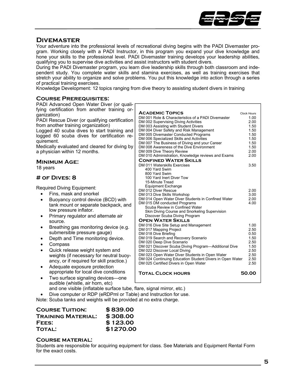

# **Divemaster**

Your adventure into the professional levels of recreational diving begins with the PADI Divemaster program. Working closely with a PADI Instructor, in this program you expand your dive knowledge and hone your skills to the professional level. PADI Divemaster training develops your leadership abilities, qualifying you to supervise dive activities and assist instructors with student divers.

During the PADI Divemaster program, you learn dive leadership skills through both classroom and independent study. You complete water skills and stamina exercises, as well as training exercises that stretch your ability to organize and solve problems. You put this knowledge into action through a series of practical training exercises.

Knowledge Development: 12 topics ranging from dive theory to assisting student divers in training

# **Course Prerequisites:**

| PADI Advanced Open Water Diver (or quali-                                                                                                    |                            |
|----------------------------------------------------------------------------------------------------------------------------------------------|----------------------------|
| fying certification from another training or-<br><b>ACADEMIC TOPICS</b><br>ganization)<br>DM 001 Role & Characteristics of a PADI Divemaster | <b>Clock Hours</b><br>1.00 |
| PADI Rescue Diver (or qualifying certification<br>DM 002 Supervising Diving Activities                                                       | 2.00                       |
| from another training organization)<br>DM 003 Assisting with Student Divers                                                                  | 1.50                       |
| DM 004 Diver Safety and Risk Management<br>Logged 40 scuba dives to start training and                                                       | 1.50                       |
| DM 005 Divemaster Conducted Programs<br>logged 60 scuba dives for certification re-                                                          | 1.50                       |
| DM 006 Specialized Skills and Activities<br>quirement.                                                                                       | 1.50                       |
| DM 007 The Business of Diving and your Career                                                                                                | 1.50                       |
| Medically evaluated and cleared for diving by<br>DM 008 Awareness of the Dive Environment                                                    | 1.50                       |
| DM 009 Dive Theory Review<br>a physician within 12 months.                                                                                   | 2.00                       |
| DM 010 Administration, Knowledge reviews and Exams                                                                                           | 2.00                       |
| <b>CONFINED WATER SKILLS</b><br><b>MINIMUM AGE:</b>                                                                                          |                            |
| DM 011 Waterskills Exercises<br>18 years<br>400 Yard Swim                                                                                    | 3.50                       |
| 800 Yard Swim                                                                                                                                |                            |
| $#$ OF DIVES: $8$<br>100 Yard Inert Diver Tow                                                                                                |                            |
| 15-Minute Tread                                                                                                                              |                            |
| <b>Equipment Exchange</b>                                                                                                                    |                            |
| <b>Required Diving Equipment:</b><br>DM 012 Diver Rescue                                                                                     | 2.00                       |
| Fins, mask and snorkel<br>DM 013 Dive Skills Workshop                                                                                        | 3.00                       |
| DM 014 Open Water Diver Students in Confined Water<br>Buoyancy control device (BCD) with<br>٠                                                | 2.00                       |
| DM 015 DM conducted Programs<br>tank mount or separate backpack, and                                                                         | 4.00                       |
| Scuba Review in Confined Water<br>low pressure inflator.                                                                                     |                            |
| Skin Diving Course and Snorkeling Supervision                                                                                                |                            |
| Primary regulator and alternate air<br>Discover Scuba Diving Program<br>٠                                                                    |                            |
| <b>OPEN WATER SKILLS</b><br>source.                                                                                                          |                            |
| DM 016 Dive Site Setup and Management<br>Breathing gas monitoring device (e.g.<br>٠                                                          | 1.00<br>2.50               |
| DM 017 Mapping Project<br>submersible pressure gauge)<br>DM 018 Dive Briefing                                                                | 0.50                       |
| DM 019 Search and Recovery Scenario<br>Depth and Time monitoring device.<br>٠                                                                | 1.50                       |
| DM 020 Deep Dive Scenario                                                                                                                    | 2.50                       |
| Compass<br>٠<br>DM 021 Discover Scuba Diving Program-Additional Dive                                                                         | 1.50                       |
| Quick release weight system and<br>DM 022 Discover Local Diving<br>٠                                                                         | 2.50                       |
| DM 023 Open Water Diver Students in Open Water<br>weights (if necessary for neutral buoy-                                                    | 2.50                       |
| DM 024 Continuing Education Student Divers in Open Water<br>ancy, or if required for skill practice.)                                        | 2.50                       |
| DM 025 Certified Divers in Open Water                                                                                                        | 2.50                       |
| Adequate exposure protection<br>٠                                                                                                            |                            |
|                                                                                                                                              |                            |
| appropriate for local dive conditions<br><b>TOTAL CLOCK HOURS</b><br>Two surface signaling devices-one                                       | 50.00                      |

and one visible (inflatable surface tube, flare, signal mirror, etc.)

• Dive computer or RDP (eRDPml or Table) and Instruction for use.

Note: Scuba tanks and weights will be provided at no extra charge.

| <b>COURSE TUITION:</b>    | \$839.00  |
|---------------------------|-----------|
| <b>TRAINING MATERIAL:</b> | \$308.00  |
| FEES:                     | \$123.00  |
| <b>TOTAL:</b>             | \$1270.00 |

#### **Course material:**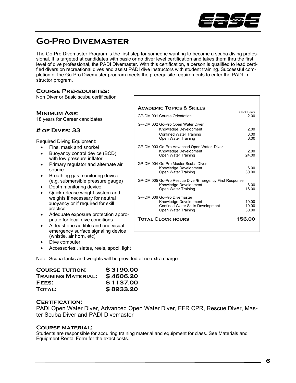

# **Go-Pro Divemaster**

The Go-Pro Divemaster Program is the first step for someone wanting to become a scuba diving professional. It is targeted at candidates with basic or no diver level certification and takes them thru the first level of dive professional, the PADI Divemaster. With this certification, a person is qualified to lead certified divers on recreational dives and assist PADI dive instructors with student training. Successful completion of the Go-Pro Divemaster program meets the prerequisite requirements to enter the PADI instructor program.

# **Course Prerequisites:**

Non Diver or Basic scuba certification

#### **Minimum Age:**  18 years for Career candidates **# of Dives: 33**  Required Diving Equipment: • Fins, mask and snorkel • Buoyancy control device (BCD) with low pressure inflator. • Primary regulator and alternate air source. • Breathing gas monitoring device (e.g. submersible pressure gauge) Depth monitoring device. • Quick release weight system and weights if necessary for neutral buoyancy or if required for skill practice • Adequate exposure protection appro-**Academic Topics & Skills** Clock Hours GP-DM 001 Course Orientation 2.00 GP-DM 002 Go-Pro Open Water Diver Knowledge Development 2.00 Confined Water Training 8.00 Open Water Training 8.00 GP-DM 003 Go-Pro Advanced Open Water Diver Knowledge Development 2.00<br>
Open Water Training 24.00 **Open Water Training** GP-DM 004 Go-Pro Master Scuba Diver Knowledge Development 6.00<br>
Open Water Training 1999 80.00 Open Water Training GP-DM 005 Go-Pro Rescue Diver/Emergency First Response Knowledge Development 8.00<br>
Open Water Training 16.00 Open Water Training 16.00 GP-DM 006 Go-Pro Divemaster Knowledge Development 10.00 Confined Water Skills Development 10.00 Open Water Training 30.00 **Total Clock hours 156.00**

- priate for local dive conditions At least one audible and one visual emergency surface signaling device (whistle, air horn, etc)
- Dive computer
- Accessories:, slates, reels, spool, light

Note: Scuba tanks and weights will be provided at no extra charge.

| <b>COURSE TUITION:</b>    | \$3190.00 |
|---------------------------|-----------|
| <b>TRAINING MATERIAL:</b> | \$4606.20 |
| FEES:                     | \$1137.00 |
| <b>TOTAL:</b>             | \$8933.20 |

### **Certification:**

PADI Open Water Diver, Advanced Open Water Diver, EFR CPR, Rescue Diver, Master Scuba Diver and PADI Divemaster

### **Course material:**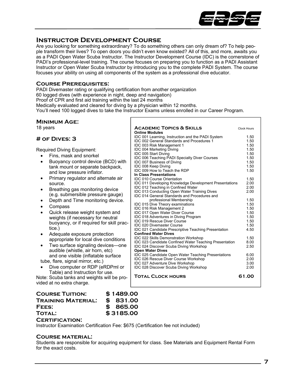

# **Instructor Development Course**

Are you looking for something extraordinary? To do something others can only dream of? To help people transform their lives? To open doors you didn't even know existed? All of this, and more, awaits you as a PADI Open Water Scuba Instructor. The Instructor Development Course (IDC) is the cornerstone of PADI's professional-level training. The course focuses on preparing you to function as a PADI Assistant Instructor or Open Water Scuba Instructor by introducing you to the complete PADI System. The course focuses your ability on using all components of the system as a professional dive educator.

# **Course Prerequisites:**

PADI Divemaster rating or qualifying certification from another organization 60 logged dives (with experience in night, deep and navigation) Proof of CPR and first aid training within the last 24 months Medically evaluated and cleared for diving by a physician within 12 months. You'll need 100 logged dives to take the Instructor Exams unless enrolled in our Career Program.

# **Minimum Age:**

18 years

# **# of Dives: 3**

Required Diving Equipment:

- Fins, mask and snorkel • Buoyancy control device (BCD) with tank mount or separate backpack, and low pressure inflator.
- Primary regulator and alternate air source.
- Breathing gas monitoring device (e.g. submersible pressure gauge)
- Depth and Time monitoring device.
- Compass
- Quick release weight system and weights (if necessary for neutral buoyancy, or if required for skill practice.)
- Adequate exposure protection appropriate for local dive conditions
- Two surface signaling devices—one audible (whistle, air horn, etc) and one visible (inflatable surface

tube, flare, signal mirror, etc.)

• Dive computer or RDP (eRDPml or Table) and Instruction for use.

Note: Scuba tanks and weights will be provided at no extra charge.

| <b>ACADEMIC TOPICS &amp; SKILLS</b><br><b>Online Modules</b>                               | <b>Clock Hours</b> |
|--------------------------------------------------------------------------------------------|--------------------|
| IDC 001 Learning, Instruction and the PADI System                                          | 1.50               |
| <b>IDC 002 General Standards and Procedures 1</b>                                          | 1.50               |
| IDC 003 Risk Management 1                                                                  | 1.50               |
| <b>IDC 004 Marketing Diving</b>                                                            | 1.50               |
| IDC 005 Start Diving                                                                       | 1.50               |
| <b>IDC 006 Teaching PADI Specialty Diver Courses</b>                                       | 1.50               |
| <b>IDC 007 Business of Diving</b>                                                          | 1.50               |
| IDC 008 Keep Diving                                                                        | 1.50               |
| IDC 009 How to Teach the RDP                                                               | 1.50               |
| In Class Presentations                                                                     |                    |
| <b>IDC 010 Course Orientation</b>                                                          | 1.50               |
| <b>IDC 011 Developing Knowledge Development Presentations</b>                              | 2.00               |
| IDC 012 Teaching in Confined Water                                                         | 2.00               |
| <b>IDC 013 Conducting Open Water Training Dives</b>                                        | 2.00               |
| <b>IDC 014 General Standards and Procedures and</b>                                        |                    |
| professional Membership                                                                    | 1.50               |
| <b>IDC 015 Dive Theory examinations</b>                                                    | 1.50               |
| <b>IDC 016 Risk Management 2</b>                                                           | 1.50               |
| <b>IDC 017 Open Water Diver Course</b>                                                     | 1.50               |
| <b>IDC 018 Adventures in Diving Program</b>                                                | 1.50               |
| <b>IDC 019 Rescue Diver Course</b>                                                         | 1.50               |
| <b>IDC 020 Divemaster Course</b>                                                           | 1.50               |
| <b>IDC 021 Candidate Prescriptive Teaching Presentation</b><br><b>Confined Water Dives</b> | 4.50               |
| IDC 022 Skills Demonstration Workshop                                                      | 1.50               |
| <b>IDC 023 Candidate Confined Water Teaching Presentation</b>                              | 8.00               |
| <b>IDC 024 Discover Scuba Diving Workshop</b>                                              | 2.50               |
| <b>Open Water Dives</b>                                                                    |                    |
| <b>IDC 025 Candidate Open Water Teaching Presentations</b>                                 | 6.00               |
| <b>IDC 026 Rescue Diver Course Workshop</b>                                                | 2.00               |
| <b>IDC 027 Adventure Dive Workshop</b>                                                     | 3.00               |
| <b>IDC 028 Discover Scuba Diving Workshop</b>                                              | 2.00               |
| <b>TOTAL CLOCK HOURS</b>                                                                   | 61.00              |

# **Course Tuition: \$ 1489.00 Training Material: \$ 831.00 Fees: \$ 865.00 Total: \$ 3185.00**

#### **Certification:**

Instructor Examination Certification Fee: \$675 (Certification fee not included)

### **Course material:**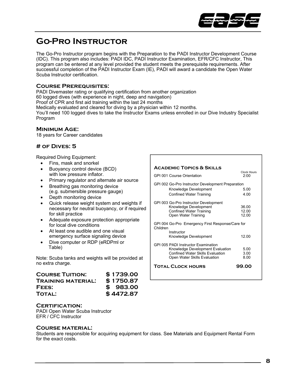

# **Go-Pro Instructor**

The Go-Pro Instructor program begins with the Preparation to the PADI Instructor Development Course (IDC). This program also includes: PADI IDC, PADI Instructor Examination, EFR/CFC Instructor, This program can be entered at any level provided the student meets the prerequisite requirements. After successful completion of the PADI Instructor Exam (IE), PADI will award a candidate the Open Water Scuba Instructor certification.

# **Course Prerequisites:**

PADI Divemaster rating or qualifying certification from another organization 60 logged dives (with experience in night, deep and navigation) Proof of CPR and first aid training within the last 24 months Medically evaluated and cleared for diving by a physician within 12 months. You'll need 100 logged dives to take the Instructor Exams unless enrolled in our Dive Industry Specialist Program

### **Minimum Age:**

18 years for Career candidates

# **# of Dives: 5**

Required Diving Equipment:

- Fins, mask and snorkel
- Buoyancy control device (BCD) with low pressure inflator.
- Primary regulator and alternate air source
- Breathing gas monitoring device (e.g. submersible pressure gauge)
- Depth monitoring device
- Quick release weight system and weights if necessary for neutral buoyancy, or if required for skill practice
- Adequate exposure protection appropriate for local dive conditions
- At least one audible and one visual emergency surface signaling device
- Dive computer or RDP (eRDPml or Table)

Note: Scuba tanks and weights will be provided at no extra charge.

| <b>COURSE TUITION:</b>    | \$1739.00 |
|---------------------------|-----------|
| <b>TRAINING MATERIAL:</b> | \$1750.87 |
| FEES:                     | \$983.00  |
| <b>TOTAL:</b>             | \$4472.87 |

#### **Certification:**

PADI Open Water Scuba Instructor EFR / CFC Instructor

#### **Course material:**

| <b>ACADEMIC TOPICS &amp; SKILLS</b>                          |                            |
|--------------------------------------------------------------|----------------------------|
| <b>GPI 001 Course Orientation</b>                            | <b>Clock Hours</b><br>2.00 |
| GPI 002 Go-Pro Instructor Development Preparation            |                            |
| Knowledge Development                                        | 5.00                       |
| Confined Water Training                                      | 4.00                       |
| GPI 003 Go-Pro Instructor Development                        |                            |
| Knowledge Development                                        | 36.00                      |
| <b>Confined Water Training</b>                               | 12.00                      |
| Open Water Training                                          | 12.00                      |
| GPI 004 Go-Pro Emergency First Response/Care for<br>Children |                            |
| Instructor                                                   |                            |
| Knowledge Development                                        | 1200                       |
| GPI 005 PADI Instructor Examination                          |                            |
| Knowledge Development Evaluation                             | 5.00                       |
| <b>Confined Water Skills Evaluation</b>                      | 3.00                       |
| Open Water Skills Evaluation                                 | 8.00                       |
| <b>TOTAL CLOCK HOURS</b>                                     | 99.00                      |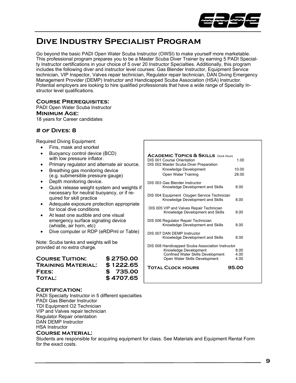

# **Dive Industry Specialist Program**

Go beyond the basic PADI Open Water Scuba Instructor (OWSI) to make yourself more marketable. This professional program prepares you to be a Master Scuba Diver Trainer by earning 5 PADI Specialty Instructor certifications in your choice of 5 over 20 Instructor Specialties. Additionally, this program includes the following diver and instructor level courses: Gas Blender Instructor, Equipment Service technician, VIP Inspector, Valves repair technician, Regulator repair technician, DAN Diving Emergency Management Provider (DEMP) Instructor and Handicapped Scuba Association (HSA) Instructor. Potential employers are looking to hire qualified professionals that have a wide range of Specialty Instructor level qualifications.

# **Course Prerequisites:**

PADI Open Water Scuba Instructor **Minimum Age:**  18 years for Career candidates

# **# of Dives: 8**

Required Diving Equipment:

- Fins, mask and snorkel
- Buoyancy control device (BCD) with low pressure inflator.
- Primary regulator and alternate air source.
- Breathing gas monitoring device (e.g. submersible pressure gauge)
- Depth monitoring device.
- Quick release weight system and weights if necessary for neutral buoyancy, or if required for skill practice
- Adequate exposure protection appropriate for local dive conditions
- At least one audible and one visual emergency surface signaling device (whistle, air horn, etc)
- Dive computer or RDP (eRDPml or Table)

Note: Scuba tanks and weights will be provided at no extra charge.

| <b>COURSE TUITION:</b>    | \$2750.00 |
|---------------------------|-----------|
| <b>TRAINING MATERIAL:</b> | \$1222.65 |
| FEES:                     | \$735.00  |
| <b>TOTAL:</b>             | \$4707.65 |

#### **Certification:**

PADI Specialty Instructor in 5 different specialties PADI Gas Blender Instructor TDI Equipment O2 Technician VIP and Valves repair technician Regulator Repair orientation DAN DEMP Instructor HSA Instructor

#### **Course material:**

| <b>ACADEMIC TOPICS &amp; SKILLS Clock Hours</b><br>DIS 001 Course Orientation<br>DIS 002 Master Scuba Diver Preparation | 1.00         |
|-------------------------------------------------------------------------------------------------------------------------|--------------|
| Knowledge Development                                                                                                   | 10.00        |
| Open Water Training                                                                                                     | 28.00        |
| DIS 003 Gas Blender Instructor<br>Knowledge Development and Skills                                                      | 8.00         |
| DIS 004 Equipment Oxygen Service Technician<br>Knowledge Development and Skills                                         | 8.00         |
| DIS 005 VIP and Valves Repair Technician<br>Knowledge Development and Skills                                            | 8.00         |
| DIS 006 Regulator Repair Technician<br>Knowledge Development and Skills                                                 | 8.00         |
| DIS 007 DAN DEMP Instructor<br>Knowledge Development and Skills                                                         | 8.00         |
| DIS 008 Handicapped Scuba Association Instructor                                                                        |              |
| Knowledge Development                                                                                                   | 8.00<br>4 በበ |
| <b>Confined Water Skills Development</b><br>Open Water Skills Development                                               | 4.00         |
| <b>TOTAL CLOCK HOURS</b>                                                                                                | 95.00        |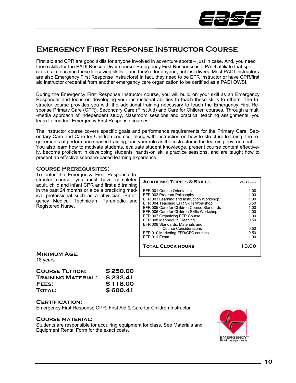

# **Emergency First Response Instructor Course**

First aid and CPR are good skills for anyone involved in adventure sports – just in case. And, you need these skills for the PADI Rescue Diver course. Emergency First Response is a PADI affiliate that specializes in teaching these lifesaving skills – and they're for anyone, not just divers. Most PADI Instructors are also Emergency First Response Instructors! In fact, they need to be EFR Instructor or have CPR/first aid instructor credential from another emergency care organization to be certified as a PADI OWSI.

During the Emergency First Response Instructor course, you will build on your skill as an Emergency Responder and focus on developing your instructional abilities to teach these skills to others. The Instructor course provides you with the additional training necessary to teach the Emergency First Response Primary Care (CPR), Secondary Care (First Aid) and Care for Children courses. Through a multi -media approach of independent study, classroom sessions and practical teaching assignments, you learn to conduct Emergency First Response courses.

The instructor course covers specific goals and performance requirements for the Primary Care, Secondary Care and Care for Children courses, along with instruction on how to structure learning, the requirements of performance-based training, and your role as the instructor in the learning environment. You also learn how to motivate students, evaluate student knowledge, present course content effectively, become proficient in developing students' hands-on skills practice sessions, and are taught how to present an effective scenario-based learning experience.

# **Course Prerequisites:**

To enter the Emergency First Response Instructor course, you must have completed adult, child and infant CPR and first aid training in the past 24 months or a be a practicing medical professional such as a physician, Emergency Medical Technician, Paramedic and Registered Nurse.

| <b>ACADEMIC TOPICS &amp; SKILLS</b>                                                                                                                                                                                                                                                                                                                                                                                              | <b>Clock Hours</b>                                                                   |
|----------------------------------------------------------------------------------------------------------------------------------------------------------------------------------------------------------------------------------------------------------------------------------------------------------------------------------------------------------------------------------------------------------------------------------|--------------------------------------------------------------------------------------|
| EFR 001 Course Orientation<br>EFR 002 Program Philosophy<br>EFR 003 Learning and Instruction Workshop<br>EFR 004 Teaching EFR Skills Workshop<br>FFR 005 Care for Children Course Standards<br>EFR 006 Care for Children Skills Workshop<br>EFR 007 Organizing EFR Course<br>EFR 008 Mannequin Cleaning<br>EFR 009 Standards, Materials and<br><b>Course Considerations</b><br>EFR 010 Marketing EFR/CFC courses<br>FFR 011 Fxam | 1.00<br>1.00<br>1.00<br>3.50<br>1.00<br>2.00<br>1.00<br>0.50<br>0.50<br>0.50<br>1.00 |
| <b>TOTAL CLOCK HOURS</b>                                                                                                                                                                                                                                                                                                                                                                                                         | 13.00                                                                                |

**Minimum Age:**  18 years

| <b>COURSE TUITION:</b>    | \$250.00 |
|---------------------------|----------|
| <b>TRAINING MATERIAL:</b> | \$232.41 |
| FEES:                     | \$118.00 |
| <b>TOTAL:</b>             | \$600.41 |

### **Certification:**

Emergency First Response CPR, First Aid & Care for Children Instructor

### **Course material:**

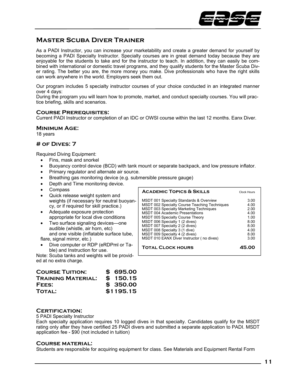

# **Master Scuba Diver Trainer**

As a PADI Instructor, you can increase your marketability and create a greater demand for yourself by becoming a PADI Specialty Instructor. Specialty courses are in great demand today because they are enjoyable for the students to take and for the instructor to teach. In addition, they can easily be combined with international or domestic travel programs, and they qualify students for the Master Scuba Diver rating. The better you are, the more money you make. Dive professionals who have the right skills can work anywhere in the world. Employers seek them out.

Our program includes 5 specialty instructor courses of your choice conducted in an integrated manner over 4 days:

During the program you will learn how to promote, market, and conduct specialty courses. You will practice briefing, skills and scenarios.

### **Course Prerequisites:**

Current PADI Instructor or completion of an IDC or OWSI course within the last 12 months. Eanx Diver.

#### **Minimum Age:**

18 years

### **# of Dives: 7**

Required Diving Equipment:

- Fins, mask and snorkel
- Buoyancy control device (BCD) with tank mount or separate backpack, and low pressure inflator.
- Primary regulator and alternate air source.
- Breathing gas monitoring device (e.g. submersible pressure gauge)
- Depth and Time monitoring device.
- Compass
- Quick release weight system and weights (if necessary for neutral buoyancy, or if required for skill practice.)
- Adequate exposure protection appropriate for local dive conditions
- Two surface signaling devices—one audible (whistle, air horn, etc) and one visible (inflatable surface tube, flare, signal mirror, etc.)
- Dive computer or RDP (eRDPml or Table) and Instruction for use.

Note: Scuba tanks and weights will be provided at no extra charge.

| <b>COURSE TUITION:</b>    | \$695.00  |
|---------------------------|-----------|
| <b>TRAINING MATERIAL:</b> | \$150.15  |
| FEES:                     | \$350.00  |
| <b>TOTAL:</b>             | \$1195.15 |

# **Certification:**

5 PADI Specialty Instructor

Each specialty application requires 10 logged dives in that specialty. Candidates qualify for the MSDT rating only after they have certified 25 PADI divers and submitted a separate application to PADI. MSDT application fee - \$90 (not included in tuition)

### **Course material:**

| <b>ACADEMIC TOPICS &amp; SKILLS</b>                                                                                                                                                                                                                                                                                                                                                      | Clock Hours                                                         |
|------------------------------------------------------------------------------------------------------------------------------------------------------------------------------------------------------------------------------------------------------------------------------------------------------------------------------------------------------------------------------------------|---------------------------------------------------------------------|
| <b>MSDT 001 Specialty Standards &amp; Overview</b><br><b>MSDT 002 Specialty Course Teaching Techniques</b><br><b>MSDT 003 Specialty Marketing Techniques</b><br><b>MSDT 004 Academic Presentations</b><br><b>MSDT 005 Specialty Course Theory</b><br>MSDT 006 Specialty 1 (2 dives)<br>MSDT 007 Specialty 2 (2 dives)<br>MSDT 008 Specialty 3 (1 dive)<br>MSDT 009 Specialty 4 (2 dives) | 3.00<br>4.00<br>2.00<br>4.00<br>100<br>8.00<br>8.00<br>4.00<br>8.00 |
| MSDT 010 EANX Diver Instructor (no dives)<br><b>TOTAL CLOCK HOURS</b>                                                                                                                                                                                                                                                                                                                    | 3.00<br>45.00                                                       |
|                                                                                                                                                                                                                                                                                                                                                                                          |                                                                     |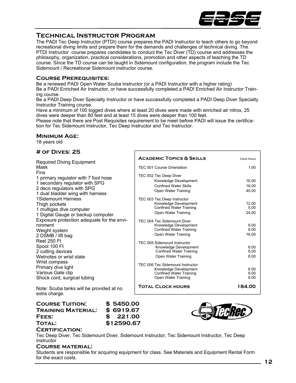

# **Technical Instructor Program**

The PADI Tec Deep Instructor (PTDI) course prepares the PADI Instructor to teach others to go beyond recreational diving limits and prepare them for the demands and challenges of technical diving. The PTDI Instructor course prepares candidates to conduct the Tec Diver (TD) course and addresses the philosophy, organization, practical considerations, promotion and other aspects of teaching the TD course. Since the TD course can be taught in Sidemount configuration, the program include the Tec Sidemount / Recreational Sidemount instructor course.

### **Course Prerequisites:**

Be a renewed PADI Open Water Scuba Instructor (or a PADI Instructor with a higher rating) Be a PADI Enriched Air Instructor, or have successfully completed a PADI Enriched Air Instructor Training course.

Be a PADI Deep Diver Specialty Instructor or have successfully completed a PADI Deep Diver Specialty Instructor Training course.

Have a minimum of 100 logged dives where at least 20 dives were made with enriched air nitrox, 25 dives were deeper than 60 feet and at least 15 dives were deeper than 100 feet.

Г

Please note that there are Post Requisites requirement to be meet before PADI will issue the certification for Tec Sidemount Instructor, Tec Deep Instructor and Tec Instructor.

### **Minimum Age:**

18 years old

### **# of Dives: 25**

| <b>Required Diving Equipment:</b>                         | <b>ACADEMIC TOPICS &amp; SKILLS</b>                     | <b>Clock Hours</b> |
|-----------------------------------------------------------|---------------------------------------------------------|--------------------|
| Mask                                                      | TEC 001 Course Orientation                              | 1.00               |
| Fins                                                      | TEC 002 Tec Deep Diver                                  |                    |
| 1 primary regulator with 7 foot hose                      | Knowledge Development                                   | 16.00              |
| 1 secondary regulator with SPG                            | <b>Confined Water Skills</b>                            | 16.00              |
| 2 deco regulators with SPG                                | Open Water Training                                     | 40.00              |
| 1 dual bladder wing with harness                          |                                                         |                    |
| 1Sidemount Harness                                        | TEC 003 Tec Deep Instructor                             |                    |
| Thigh pockets                                             | Knowledge Development<br><b>Confined Water Training</b> | 12.00<br>5.00      |
| 1 multigas dive computer                                  | Open Water Training                                     | 24.00              |
| 1 Digital Gauge or backup computer                        |                                                         |                    |
| Exposure protection adequate for the envi-                | TEC 004 Tec Sidemount Diver                             |                    |
| ronment                                                   | Knowledge Development                                   | 6.00               |
| Weight system                                             | <b>Confined Water Training</b>                          | 8.00               |
| 2 DSMB / lift bag                                         | Open Water Training                                     | 16.00              |
| Reel 250 Ft                                               | TEC 005 Sidemount Instructor                            |                    |
| Spool 100 Ft                                              | Knowledge Development                                   | 6.00               |
| 2 cutting devices                                         | <b>Confined Water Training</b>                          | 6.00               |
| Wetnotes or wrist slate                                   | Open Water Training                                     | 8.00               |
| Wrist compass                                             |                                                         |                    |
| Primary dive light                                        | TEC 006 Tec Sidemount Instructor                        |                    |
| Various Gate clip                                         | Knowledge Development<br><b>Confined Water Training</b> | 6.00<br>6.00       |
| Shock cord, surgical tubing                               | Open Water Training                                     | 8.00               |
|                                                           |                                                         |                    |
| Note: Scuba tanks will be provided at no<br>extra charge. | <b>TOTAL CLOCK HOURS</b>                                | 184.00             |

**Course Tuition: \$ 5450.00 Training Material: \$ 6919.67 Fees: \$ 221.00 Total: \$12590.67** 



### **Certification:**

Tec Deep Diver, Tec Sidemount Diver, Sidemount Instructor, Tec Sidemount Instructor, Tec Deep **Instructor** 

#### **Course material:**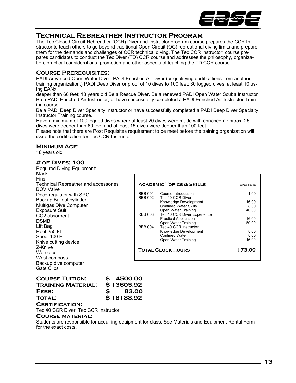

# **Technical Rebreather Instructor Program**

The Tec Closed Circuit Rebreather (CCR) Diver and Instructor program course prepares the CCR Instructor to teach others to go beyond traditional Open Circuit (OC) recreational diving limits and prepare them for the demands and challenges of CCR technical diving. The Tec CCR Instructor course prepares candidates to conduct the Tec Diver (TD) CCR course and addresses the philosophy, organization, practical considerations, promotion and other aspects of teaching the TD CCR course.

# **Course Prerequisites:**

PADI Advanced Open Water Diver, PADI Enriched Air Diver (or qualifying certifications from another training organization,) PADI Deep Diver or proof of 10 dives to 100 feet; 30 logged dives, at least 10 using EANx

deeper than 60 feet; 18 years old Be a Rescue Diver. Be a renewed PADI Open Water Scuba Instructor Be a PADI Enriched Air Instructor, or have successfully completed a PADI Enriched Air Instructor Training course.

Be a PADI Deep Diver Specialty Instructor or have successfully completed a PADI Deep Diver Specialty Instructor Training course.

Have a minimum of 100 logged dives where at least 20 dives were made with enriched air nitrox, 25 dives were deeper than 60 feet and at least 15 dives were deeper than 100 feet.

Please note that there are Post Requisites requirement to be meet before the training organization will issue the certification for Tec CCR Instructor.

### **Minimum Age:**

18 years old

# **# of Dives: 100**

Required Diving Equipment:

| Mask                                        |                |                                                     |                    |
|---------------------------------------------|----------------|-----------------------------------------------------|--------------------|
| <b>Fins</b>                                 |                |                                                     |                    |
| <b>Technical Rebreather and accessories</b> |                | <b>ACADEMIC TOPICS &amp; SKILLS</b>                 | <b>Clock Hours</b> |
| <b>BOV Valve</b>                            |                |                                                     |                    |
| Deco regulator with SPG                     | <b>REB 001</b> | Course Introduction                                 | 1.00               |
| Backup Bailout cylinder                     | <b>REB 002</b> | Tec 40 CCR Diver                                    |                    |
|                                             |                | Knowledge Development                               | 16.00              |
| Multigas Dive Computer                      |                | <b>Confined Water Skills</b>                        | 8.00               |
| <b>Exposure Suit</b>                        |                | Open Water Training                                 | 40.00              |
| CO <sub>2</sub> absorbent                   | <b>REB 003</b> | Tec 40 CCR Diver Experience                         |                    |
| <b>DSMB</b>                                 |                | <b>Practical Application</b><br>Open Water Training | 16.00<br>60.00     |
| Lift Bag                                    | <b>REB 004</b> | Tec 40 CCR Instructor                               |                    |
| <b>Reel 250 Ft</b>                          |                | Knowledge Development                               | 8:00               |
| Spool 100 Ft                                |                | <b>Confined Water</b>                               | 8:00               |
|                                             |                | Open Water Training                                 | 16:00              |
| Knive cutting device                        |                |                                                     |                    |
| Z-Knive                                     |                | <b>TOTAL CLOCK HOURS</b>                            | 173.00             |
| Wetnotes                                    |                |                                                     |                    |
| Wrist compass                               |                |                                                     |                    |
| Backup dive computer                        |                |                                                     |                    |
| <b>Gate Clips</b>                           |                |                                                     |                    |
|                                             |                |                                                     |                    |

| <b>COURSE TUITION:</b> |              | \$4500.00  |
|------------------------|--------------|------------|
| TRAINING MATERIAL:     |              | \$13605.92 |
| FEES:                  | $\mathbf{s}$ | 83.00      |
| <b>TOTAL:</b>          |              | \$18188.92 |

# **Certification:**

Tec 40 CCR Diver, Tec CCR Instructor

# **Course material:**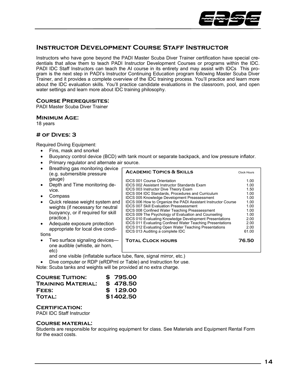

# **Instructor Development Course Staff Instructor**

Instructors who have gone beyond the PADI Master Scuba Diver Trainer certification have special credentials that allow them to teach PADI Instructor Development Courses or programs within the IDC. PADI IDC Staff Instructors can teach the AI course in its entirety and may assist with IDCs This program is the next step in PADI's Instructor Continuing Education program following Master Scuba Diver Trainer, and it provides a complete overview of the IDC training process. You'll practice and learn more about the IDC evaluation skills. You'll practice candidate evaluations in the classroom, pool, and open water settings and learn more about IDC training philosophy.

# **Course Prerequisites:**

PADI Master Scuba Diver Trainer

### **Minimum Age:**

18 years

### **# of Dives: 3**

Required Diving Equipment:

- Fins, mask and snorkel
- Buoyancy control device (BCD) with tank mount or separate backpack, and low pressure inflator.
- Primary regulator and alternate air source.

| Breathing gas monitoring device<br>(e.g. submersible pressure                                                                                                                                                                                                         | <b>ACADEMIC TOPICS &amp; SKILLS</b>                                                                                                                                                                                                                                                                                                                                                                                                                                                                                                                                                                                                                                                                                                              | <b>Clock Hours</b>                                                                                    |
|-----------------------------------------------------------------------------------------------------------------------------------------------------------------------------------------------------------------------------------------------------------------------|--------------------------------------------------------------------------------------------------------------------------------------------------------------------------------------------------------------------------------------------------------------------------------------------------------------------------------------------------------------------------------------------------------------------------------------------------------------------------------------------------------------------------------------------------------------------------------------------------------------------------------------------------------------------------------------------------------------------------------------------------|-------------------------------------------------------------------------------------------------------|
| gauge)<br>Depth and Time monitoring de-<br>vice.<br>Compass<br>Quick release weight system and<br>weights (if necessary for neutral<br>buoyancy, or if required for skill<br>practice.)<br>Adequate exposure protection<br>appropriate for local dive condi-<br>tions | <b>IDCS 001 Course Orientation</b><br><b>IDCS 002 Assistant Instructor Standards Exam</b><br>IDCS 003 Instructor Dive Theory Exam<br><b>IDCS 004 IDC Standards, Procedures and Curriculum</b><br><b>IDCS 005 Knowledge Development Preassessment</b><br><b>IDCS 006 How to Organize the PADI Assistant Instructor Course</b><br><b>IDCS 007 Skill Evaluation Preassessment</b><br><b>IDCS 008 Confined Water Teaching Preassessment</b><br><b>IDCS 009 The Psychology of Evaluation and Counseling</b><br><b>IDCS 010 Evaluating Knowledge Development Presentations</b><br><b>IDCS 011 Evaluating Confined Water Teaching Presentations</b><br><b>IDCS 012 Evaluating Open Water Teaching Presentations</b><br>IDCS 013 Auditing a complete IDC | 1.00<br>1.00<br>1.50<br>1.00<br>1.00<br>1.00<br>1.00<br>1.00<br>1.00<br>2.00<br>2.00<br>2.00<br>61.00 |
| Two surface signaling devices-<br>one audible (whistle, air horn,<br>etc)                                                                                                                                                                                             | <b>TOTAL CLOCK HOURS</b>                                                                                                                                                                                                                                                                                                                                                                                                                                                                                                                                                                                                                                                                                                                         | 76.50                                                                                                 |

and one visible (inflatable surface tube, flare, signal mirror, etc.)

• Dive computer or RDP (eRDPml or Table) and Instruction for use.

Note: Scuba tanks and weights will be provided at no extra charge.

| <b>COURSE TUITION:</b> | \$795.00  |
|------------------------|-----------|
| TRAINING MATERIAL:     | \$478.50  |
| FEES:                  | \$129.00  |
| <b>TOTAL:</b>          | \$1402.50 |

### **Certification:**

PADI IDC Staff Instructor

#### **Course material:**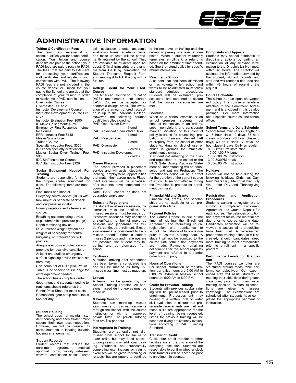

# **Administrative Information**

#### **Tuition & Certification Fees**

The training you receive at our school qualifies you for scuba certification. Your tuition and course deposits are paid to the school; your PADI fees are paid directly to PADI. The fees that are paid to PADI are for processing your certifications, wall certificates, and registering your certification with PADI. The following PADI fees are not included in the course deposit or Tuition that you pay to the School and are due at the completion of your training in order to receive your PADI certification. Divemaster Course Divemaster Fee: \$123 Instructor Development Course Instructor Development Course Fee: \$175 Instructor Evaluation Fee: \$690 IE Make Up segment: \$279 Emergency First Response Instructor Course EFR Instructor Fee: \$118 Master Scuba Diver Trainer Course Specialty Instructor Fees: \$350 (\$70 each specialty certification) Master Scuba Diver Trainer Fee: \$96 IDC Staff Instructor Course IDC Staff Instructor Fee: \$129

#### **Scuba Equipment Needed For Training**

Students are responsible for having the proper scuba equipment for class. The following items are needed: Fins, mask and snorkel

Buoyancy control device (BCD) with tank mount or separate backpack,

and low pressure inflator. Primary regulator and alternate air source.

Breathing gas monitoring device (e.g. submersible pressure gauge) Depth monitoring device.

Quick release weight system and weights (if necessary for neutral buoyancy, or if required for skill practice

Adequate exposure protection appropriate for local dive conditions At least one audible emergency

surface signaling device (whistle, air horn, etc)

Dive computer or RDP (eRDPml or Table). See specific course page for extra equipment needed.

The school has a complete rental department and students needing to rent items should reference the Rental Price Sheet for exact costs. Recreational gear setup rental fee is \$65 per day.

**Student Housing**  The school does not maintain student housing and each student must secure their own accommodation. However, we will be pleased to assist students in locating suitable housing arrangements.

#### **Student Records**

Student records that include the<br>enrollment agreement medical enrollment agreement, approval forms, liability releases, waivers, certification copies, water

skill evaluation sheets, academic evaluation forms, academic tests, and make up tests will be permanently retained by the school. They are available to students upon request. Official transcripts are available from PADI by completing the Student Transcript Request Form and sending it to PADI along with a \$10 fee.

#### **College Credit for Your EASE Course**

The American Council on Education (ACE) recommends that certain EASE Courses be accepted for academic college credit. The evaluation of the amount of credit accepted is up to the Individual College. However, the following courses qualify for college credits. PADI Open Water Diver

|                                    | 1 credit  |
|------------------------------------|-----------|
| PADI Advanced Open Water Diver     |           |
|                                    | 1 credit  |
| <b>PADI Rescue Diver</b>           |           |
|                                    | 1 credit  |
| <b>PADI Divemaster</b>             |           |
|                                    | 2 credits |
| <b>PADI Instructor Development</b> |           |
|                                    | 2 credits |

#### **Career Placement**

The school provides a placement service and will assist students in locating employment opportunities that match their career goals. Placement interviews will be scheduled after students have completed the course. Note: EASE cannot or does not

guarantee employment.

#### **Rules and Regulations**

If a student must miss a session, the instructor must be notified. All missed sessions must be made up. Excessive absences may constitute a significant number of make up sessions and jeopardize the student's continued enrollment. Excessive absence is considered to be 2 missed periods. When a student misses 2 periods and make ups are not possible, the student may fall behind and be dismissed from school.

#### **Tardiness**

A student arriving after attendance has been taken is considered late and will be marked as tardy. All missed class time must be made up.

#### **Leaves**

A leave may be granted by the School Training Director. All sessions missed during leaves must be made up.

#### **Make-up Session**

Students can make-up missed assignments or training segments through the school, with the course instructor, or with an approved private tutor. The private tutoring fees are \$20 per hour.

#### **Interruptions in Training**

Students are generally not dis-missed from school for failure to learn skills, but may need special tutoring sessions or additional training. Student's not successfully completing examinations or training exercises will be given re-training or re-tests, but are unable to continue

to the next level or training until the current or prerequisite level is completed. When a student voluntarily terminates enrollment, a refund is based on the amount of time attended. See the refund policy for specific refund information.

#### **Re-entry to School**

A student that has been dismissed or has voluntarily left school and wants to be re-admitted must follow standard admission procedures. Students will be evaluated, preassessed, and screened to assure that the course prerequisites are met.

#### **Conduct**

When on a school exercise or on school premises, students must conduct themselves in an orderly, sober, non-violent, and considerate manner. Violation of this conduct policy is cause for counseling, pro-bation, and dismissal. Verified theft of property from the school or other students, drug or alcohol use or abuse is grounds for immediate enrollment dismissal.

A student not adhering to the rules and regulations of the school or the PADI Safe Diving Practices Statement of Understanding will be counseled and put on Probation. The Probationary period will be in effect for the duration of the current course of study. A second offense during the Probation is grounds for enrollment dismissal.

#### **Financial Aid and Grants**

Financial aid, grants, and scholarships are not available for our programs at this time.

#### **Payment Policies**

The Course Deposit is due at the time of signing the Enrollment Agreement and requesting course registration and admittance to school. The balance of tuition is due prior to course starting date. A student will not be admitted to the course until total tuition payments are made. Payments remaining delinquent after the school requests payment are referred to a bonder collection company.

#### **Hours of Operations**

For school information or registration, our office hours are 9:00 AM to 6:00 PM. When in session, school hours are 9:00 AM to 6:00 PM.

#### **Credit for Previous Training**

Students with previous scuba training will be pre-assessed prior to enrollment. Pre-assessment may consist of a written, oral or water skill evaluation to assure that prerequisite requirements are met and those skills are appropriate for the level of training being requested. Credit for previous training will be based on diving equivalency evalua-tions according to PADI Training Standards.

#### **Transfer of Credit**

Clock hour credit transfer to other facilities are at the discretion of the accepting institution. Students are responsible to confirm whether clock hour transfers will be accepted prior to enrollment in courses.

#### **Complaints and Appeals**

Students may appeal academic or disciplinary actions by writing an explanation of any relevant information to the Director, Liz Hammett, within 48 hours. The Director will evaluate the information provided by the student, student records and staff and will render a final decision within 48 hours of receiving the request.

#### **Course Schedule**

The school has an open entry/open exit policy. The course schedule is attached to the Enrollment Agreement and is enclosed in this catalog package. For more information about specific course call the school office.

#### **School Terms and Daily Schedule**

School terms may vary in length; 15 & 16 hour class– 2 days, 38 hour  $\alpha$  is not state  $\alpha$  and  $\alpha$  and  $\alpha$  class– 6 days, 60 hour class– 7 days, 66 hour class– 8 days. Daily schedule: 8:00-12:00 PM Instruction

 12:00-1:00 PM Lunch 1:00-3:00 PM Instruction 3:00-3:30PM break

3:30-6:00 PM Instruction

#### **Holidays**

School will not be held during the following holidays: Christmas Day, New Years Day, Memorial Day, July 4th, Labor Day and Thanksgiving Day.

#### **Registration and Application Procedures**

Students wanting to register are to submit a completed Enrollment Agreement and Course Deposit for each course. The balances of tuition and payment for course material are due prior to course starting date. Candidates application will be reviewed to assure all prerequisites have been met. A personalized preparation training schedule will be created, should candidates need more training to meet prerequisites prior to enrollment in a specific program.

#### **Performance Levels for Graduation**

The PADI courses we offer are structured around measurable performance objectives. Our experi-enced staff will assist students in meeting their objectives during each classroom, pool, and open water<br>training session. Written examinations are given to assess knowledge. The examinations are scheduled after students have completed the appropriate segment of instruction.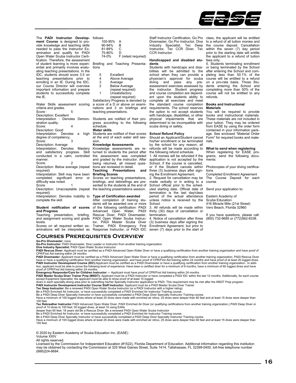

The **PADI Instructor Develop-**follows: **ment Course** is designed to provide knowledge and teaching skills needed to pass the Instructor Examination and qualify for PADI Open Water Scuba Instructor Certification. Therefore, the assessment of student learning is more experiential and primarily involves evaluating teaching presentations. In the IDC, students should score 3.5 on teaching presentations prior to enrolling in an IE. During the IDC, our Course Director will overview important information and prepare students to successfully complete the IE.

Water Skills assessment scoring criteria and grades. Score : 5 Description: Excellent Interpretation : Denotes Demonstration quality. Score: 4 Description: Good Interpretation: Denotes a high degree of competency. Score: 3 Description: Average Interpretation: Denotes Mastery and satisfactory progress. Skill conducted in a calm, controlled manner. Score: 2

Description: Below average (repeat required) Interpretation: Skill may have been

completed; significant error or difficulty was noted.<br>Score

Score 1 Description: Unacceptable (repeat required)

Interpretation: Denotes inability to complete the skill.

#### **Student notification of scores and Progress**

Teaching presentation, briefing, and assignment scoring and grade levels.

Scores on all required written examinations will be interpreted as

| llows:  |                     |
|---------|---------------------|
| 100-95% | А                   |
| 90-94%  | R                   |
| 81-89%  | C                   |
| 75-80%  | D                   |
| 74-0%   | F (retest required) |
|         |                     |

Briefing and Teaching Presentations

5 Excellent<br>4 Above Av

Above Average

- 3 Average<br>2 Below Av Below Average
- (repeat required)<br>1 llnsatisfactory
- Unsatisfactory

(repeat required)

Satisfactory Progress is denoted by a score of a D or above on examinations and 3 on briefings and teaching presentations.

Students are notified of their progress according to the following schedule.

#### **Water skills**

Students are notified of their scores at the end of each water skill session.

#### **Knowledge Assessments**

Knowledge assessments are re-turned to students the period after the assessment was completed and graded by the instructor. After being returned, all missed questions are reviewed in detail.

**Teaching Presentations and Briefing Scores** 

Scores on teaching presentations, briefings, and debriefings are presented to the students at the end of the teaching presentations session.

#### **Type of Certification awarded**

After completion of training students will be awarded one or more of the following certification: PADI Advanced Open Water, PADI Rescue Diver, PADI Divemaster, PADI Open Water Scuba Instructor, PADI Master Scuba Diver Trainer, PADI Emergency First Response Instructor, or PADI IDC

Divemaster, Go Pro Instructor, Dive Industry Specialist, Tec Deep Instructor, Tec CCR Diver, Tec within the seven (7) day period<br>CCR Instructor. prior to the starting date will entitle

#### **Handicapped and disabled students**

Students with handicaps and disabilities will be admitted to the school when they can provide a physician's approval for scuba diving and pass any pre-assessment exercises assessed by the instructor. Student progress and course completion are dependent upon the students ability to complete all exercises and meet the standard course completion requirements. The school reserves the option to not accept students with handicaps, disabilities, or other physical impairments that are determined to be incompatible with scuba diving or safety.

#### **School Refund Policy**

Should an Applicant/Student cancel his/her enrollment or be terminated by the school for any reason, all refunds will be made according to the following refund schedule. 1. All monies will be refunded if the application is not accepted by the School, if the course is cancelled, or if the Student cancels within three (3) business days after signing the Enrollment Agreement. 2. Request for cancellation may be made verbally or in writing to a School official prior to the scheduled starting date. Official date of

termination is the last day/class period of the actual attendance unless notice is received by the School.

3. All refunds will be made within thirty (30) days of cancellation or termination.

4. Notice of cancellation after three (3) business days after signing the Enrollment Agreement, but prior to seven (7) days prior to the start of

Staff Instructor Certification, Go Pro class, the applicant will be entitled to a refund of all tuition monies and the course deposit. Cancellation the applicant to a refund of tuition fees only.

5. Students terminating enrollment or being terminated by the School after entering the School and completing less than 50.1% of the course will be entitled to a refund on a pro-rata basis. Those Stu-dents entering the School and completing more than 50% of the course will not be entitled to any refunds.

#### **Books and Instructional Materials**

You will be required to provide books and instructional materials. These materials are not included in your tuition. They may be ordered from EASE by using the order form contained in your information package. See enclosed "Material Order Form" for required books and materials.

#### **What to send when registering**

When registering for EASE pro-grams, send the following documents:

Photocopies of your diving certifications

Completed Enrollment Agreement The Course Deposit for each course

Send your application to:

Eastern Academy of Scuba Education 416 Miracle Mile (21st Street) Vero Beach, Florida 32960

If you have questions, please call: (800) 732-9685 or (772)562-8338.

**Courses Prerequisites Overview** 

#### **Go-Pro Divemaster:** none

**Go-Pro Instructor:** PADI Divemaster, Dive Leader or Instructor from another training organization

**Dive Industry Specialist:** PADI Open Water Scuba Instructor<br>**PADI Rescue Diver:** Applicant must be certified as a PADI Advanced Open Water Diver or have a qualifying certification from another training organization and ha CPR/First Aid training within 24 months

PADI Divemaster: Applicant must be certified as a PADI Advanced Open Water Diver or have a qualifying certification from another training organization, PADI Rescue Diver have or have a qualifying certification from another training organization. and have proof of CPR/First Aid training within 24 months and have proof of at least 20 logged dives.<br>**PADI Instructor Development Course (IDC)**:A tion, applicant must be able to prove the following level of experience: Have been a certified diver for a minimum of 6 months, have a minimum of 60 logged dives and have proof of CPR/First Aid training within 24 months.

**Emergency Responder/Care for Children Instructor** — Applicant must have proof of CPR/First Aid training within 24 months<br>**PADI Master Scuba Diver Trainer Prep (MSDT):** Applicant must be a PADI Instructor or have completed

except Equipment Specialist, the applicant must be able to show proof of at least 10 logged<br>dives in each specialty-diving area prior to submitting his/her Specialty Instructor application to PADI. This requirement may be

Be a PADI Enriched Air Instructor, or have successfully completed a PADI Enriched Air Instructor Training course.<br>Be a PADI Deep Diver Specialty Instructor or have successfully completed a PADI Deep Diver Specialty Instruc 100 feet.

**Tec Rebreather Instructor** PADI Advanced Open Water Diver, PADI Enriched Air Diver (or qualifying certifications from another training organization,) PADI Deep Diver or proof of 10 dives to 100 feet; 30 logged dives, at least 10 using EANx<br>deeper than 60 feet; 18 years old Be a Rescue Diver. Be a renewed PADI Open Water Scuba Instructor

Be a PADI Enriched Air Instructor, or have successfully completed a PADI Enriched Air Instructor Training course.<br>Be a PADI Deep Diver Specialty Instructor or have successfully completed a PADI Deep Diver Specialty Instruc

Have a minimum of 100 logged dives where at least 20 dives were made with enriched air nitrox, 25 dives were deeper than 60 feet and at least 15 dives were deeper than 100 feet.

© 2020 by Eastern Academy of Scuba Education Inc. (EASE)

Volume XXIV All rights reserved.

Licensed by the Commission for Independent Education (#1522), Florida Department of Education. Additional information regarding this institution may be obtained by contacting the Commission at 325 West Gaines Street, Suite 1414, Tallahassee, FL 32399-0400, toll-free telephone number (888)224-6684.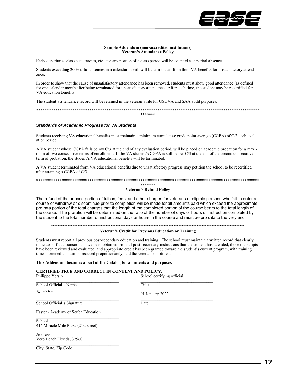

#### **Sample Addendum (non-accredited institutions) Veteran's Attendance Policy**

Early departures, class cuts, tardies, etc., for any portion of a class period will be counted as a partial absence.

Students exceeding 20 % **total** absences in a calendar month **will be** terminated from their VA benefits for unsatisfactory attendance.

In order to show that the cause of unsatisfactory attendance has been removed, students must show good attendance (as defined) for one calendar month after being terminated for unsatisfactory attendance. After such time, the student may be recertified for VA education benefits.

The student's attendance record will be retained in the veteran's file for USDVA and SAA audit purposes.

\*\*\*\*\*\*\*\*\*\*\*\*\*\*\*\*\*\*\*\*\*\*\*\*\*\*\*\*\*\*\*\*\*\*\*\*\*\*\*\*\*\*\*\*\*\*\*\*\*\*\*\*\*\*\*\*\*\*\*\*\*\*\*\*\*\*\*\*\*\*\*\*\*\*\*\*\*\*\*\*\*\*\*\*\*\*\*\*\*\*\*\*\*\*\*\*\*\*\*\*\*\*\*\*\* \*\*\*\*\*\*\*

#### *Standards of Academic Progress for VA Students*

Students receiving VA educational benefits must maintain a minimum cumulative grade point average (CGPA) of C/3 each evaluation period.

A VA student whose CGPA falls below C/3 at the end of any evaluation period, will be placed on academic probation for a maximum of two consecutive terms of enrollment. If the VA student's CGPA is still below  $\hat{C}/3$  at the end of the second consecutive term of probation, the student's VA educational benefits will be terminated.

A VA student terminated from VA educational benefits due to unsatisfactory progress may petition the school to be recertified after attaining a CGPA of C/3.

#### \*\*\*\*\*\*\*\*\*\*\*\*\*\*\*\*\*\*\*\*\*\*\*\*\*\*\*\*\*\*\*\*\*\*\*\*\*\*\*\*\*\*\*\*\*\*\*\*\*\*\*\*\*\*\*\*\*\*\*\*\*\*\*\*\*\*\*\*\*\*\*\*\*\*\*\*\*\*\*\*\*\*\*\*\*\*\*\*\*\*\*\*\*\*\*\*\*\*\*\*\*\*\*\*\* \*\*\*\*\*\*\* **Veteran's Refund Policy**

The refund of the unused portion of tuition, fees, and other charges for veterans or eligible persons who fail to enter a course or withdraw or discontinue prior to completion will be made for all amounts paid which exceed the approximate pro rata portion of the total charges that the length of the completed portion of the course bears to the total length of the course. The proration will be determined on the ratio of the number of days or hours of instruction completed by the student to the total number of instructional days or hours in the course and must be pro rata to the very end.

#### \*\*\*\*\*\*\*\*\*\*\*\*\*\*\*\*\*\*\*\*\*\*\*\*\*\*\*\*\*\*\*\*\*\*\*\*\*\*\*\*\*\*\*\*\*\*\*\*\*\*\*\*\*\*\*\*\*\*\*\*\*\*\*\*\*\*\*\*\*\*\*\*\*\*\*\*\*\*\*\*\*\*\*\*\*\*\*\*\*\*\*\*\*\*\*\*\*\*\*\*\*\*\*\*\*\*\*\*\*\*\*\*\*\*\*\*\*

#### **Veteran's Credit for Previous Education or Training**

Students must report all previous post-secondary education and training. The school must maintain a written record that clearly indicates official transcripts have been obtained from all post-secondary institutions that the student has attended, those transcripts have been reviewed and evaluated, and appropriate credit has been granted toward the student's current program, with training time shortened and tuition reduced proportionately, and the veteran so notified.

#### **This Addendum becomes a part of the Catalog for all intents and purposes.**

#### **CERTIFIED TRUE AND CORRECT IN CONTENT AND POLICY.**

| Philippe Yersin                                | School certifying official |
|------------------------------------------------|----------------------------|
| School Official's Name                         | Title                      |
| هذ للعند                                       | 01 January 2022            |
| School Official's Signature                    | Date                       |
| Eastern Academy of Scuba Education             |                            |
| School<br>416 Miracle Mile Plaza (21st street) |                            |
| Address                                        |                            |
| Vero Beach Florida, 32960                      |                            |
| City, State, Zip Code                          |                            |